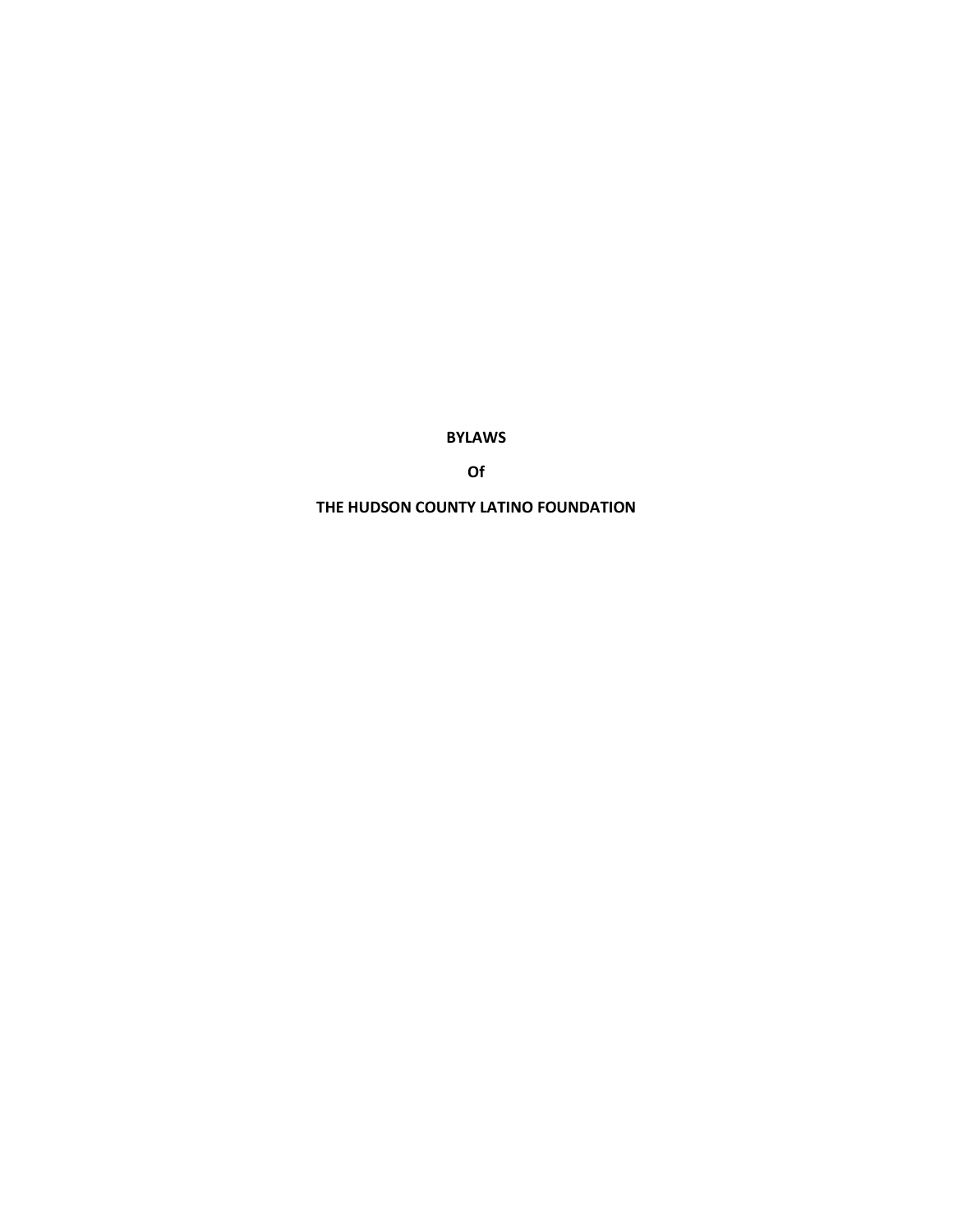**BYLAWS**

**Of**

**THE HUDSON COUNTY LATINO FOUNDATION**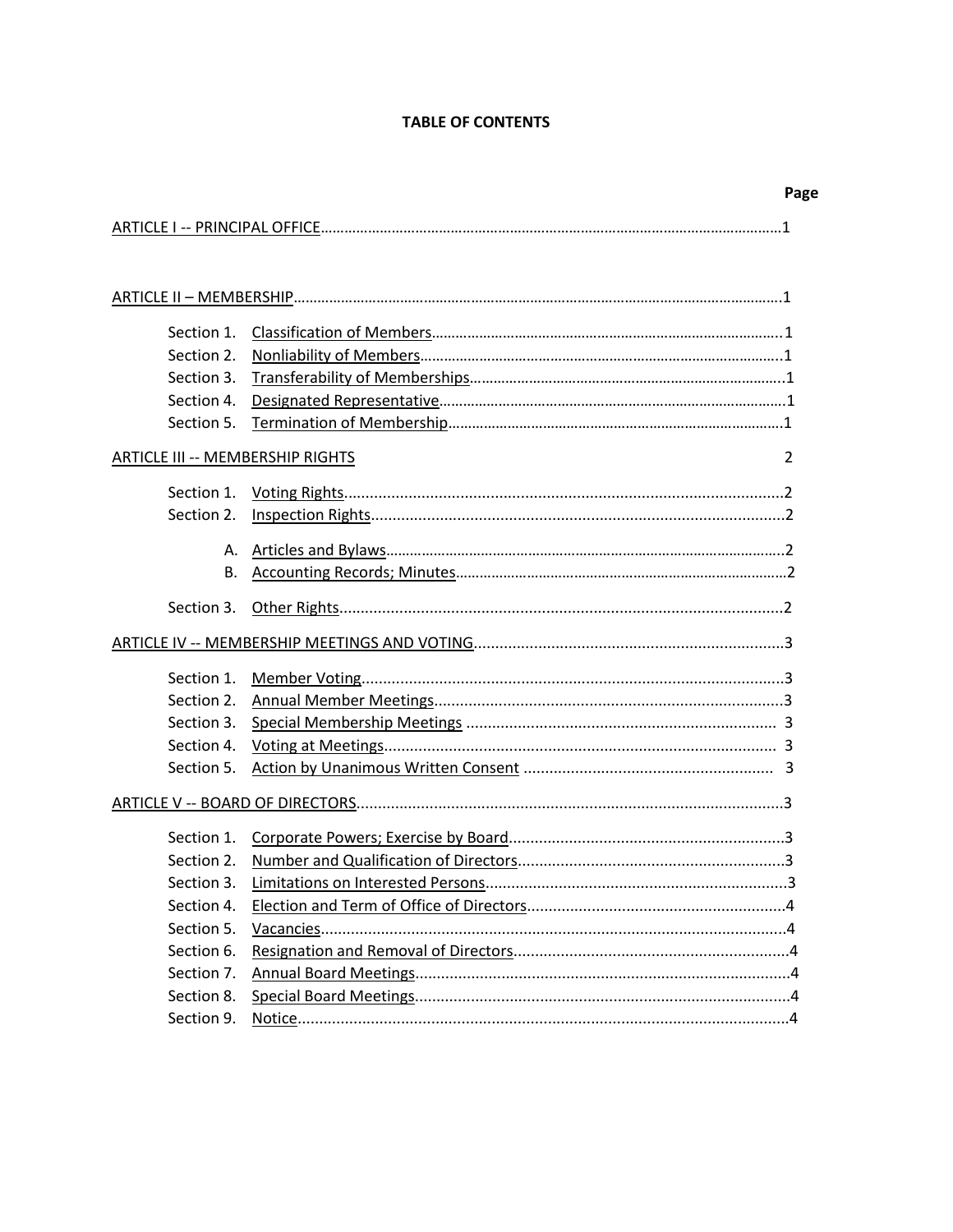# **TABLE OF CONTENTS**

|                                  | Page |
|----------------------------------|------|
|                                  |      |
|                                  |      |
|                                  |      |
|                                  |      |
|                                  |      |
|                                  |      |
| Section 2.                       |      |
| Section 3.                       |      |
| Section 4.                       |      |
| Section 5.                       |      |
| ARTICLE III -- MEMBERSHIP RIGHTS | 2    |
|                                  |      |
|                                  |      |
|                                  |      |
|                                  |      |
| В.                               |      |
|                                  |      |
|                                  |      |
|                                  |      |
|                                  |      |
|                                  |      |
|                                  |      |
| Section 3.                       |      |
| Section 4.                       |      |
| Section 5.                       |      |
|                                  |      |
|                                  |      |
| Section 1.                       |      |
| Section 2.                       |      |
|                                  |      |
| Section 4.                       |      |
| Section 5.                       |      |
| Section 6.                       |      |
| Section 7.                       |      |
| Section 8.                       |      |
| Section 9.                       |      |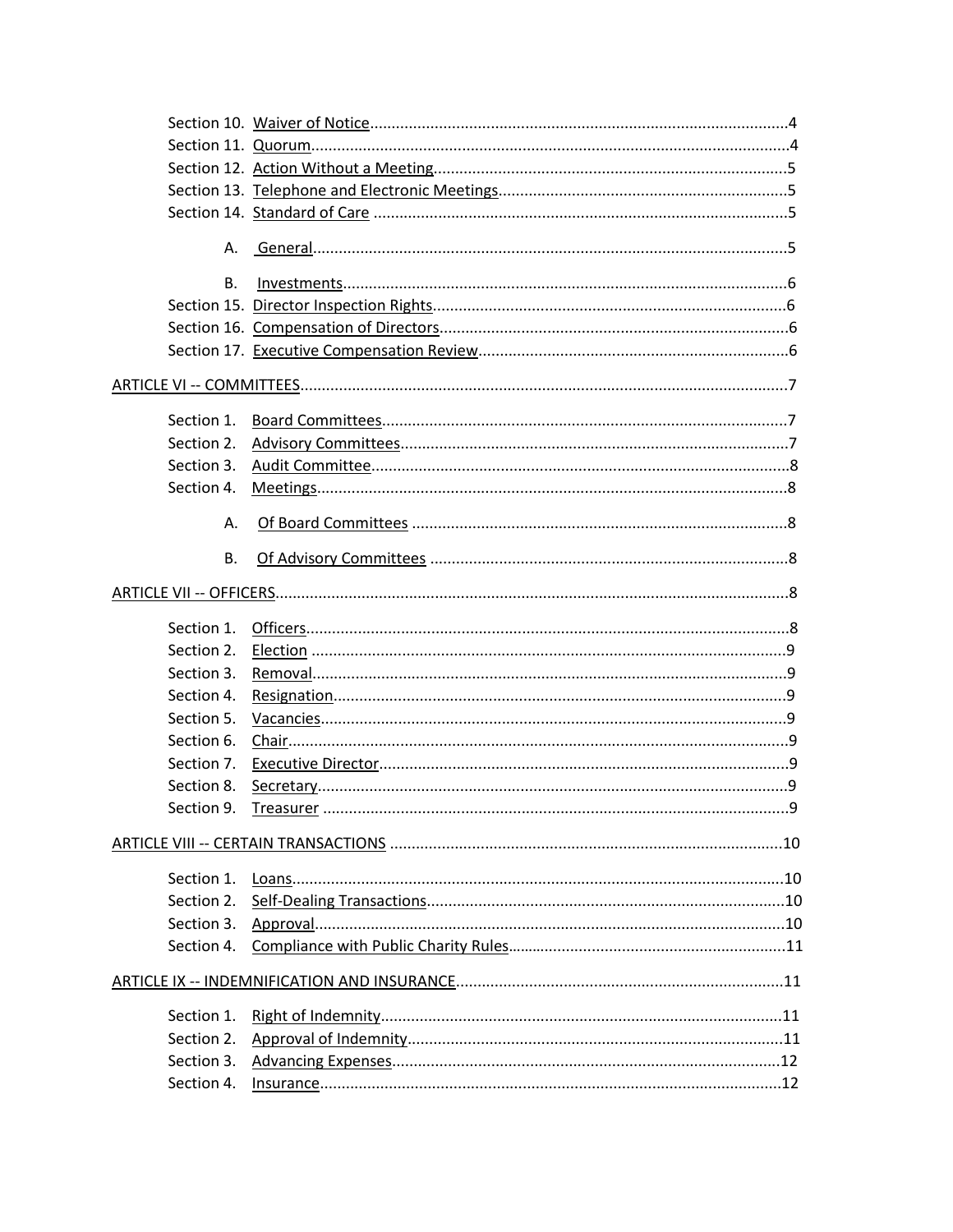| В.         |               |  |
|------------|---------------|--|
|            |               |  |
|            |               |  |
|            |               |  |
|            |               |  |
| Section 1. |               |  |
| Section 2. |               |  |
| Section 3. |               |  |
| Section 4. |               |  |
| А.         |               |  |
| <b>B.</b>  |               |  |
|            |               |  |
|            |               |  |
|            |               |  |
| Section 3. |               |  |
| Section 4. |               |  |
| Section 5. |               |  |
| Section 6. |               |  |
| Section 7. |               |  |
| Section 8. |               |  |
| Section 9. |               |  |
|            |               |  |
| Section 1. |               |  |
|            |               |  |
| Section 3. |               |  |
|            |               |  |
|            |               |  |
| Section 1. |               |  |
| Section 2. |               |  |
| Section 3. |               |  |
| Section 4. | $insurance12$ |  |
|            |               |  |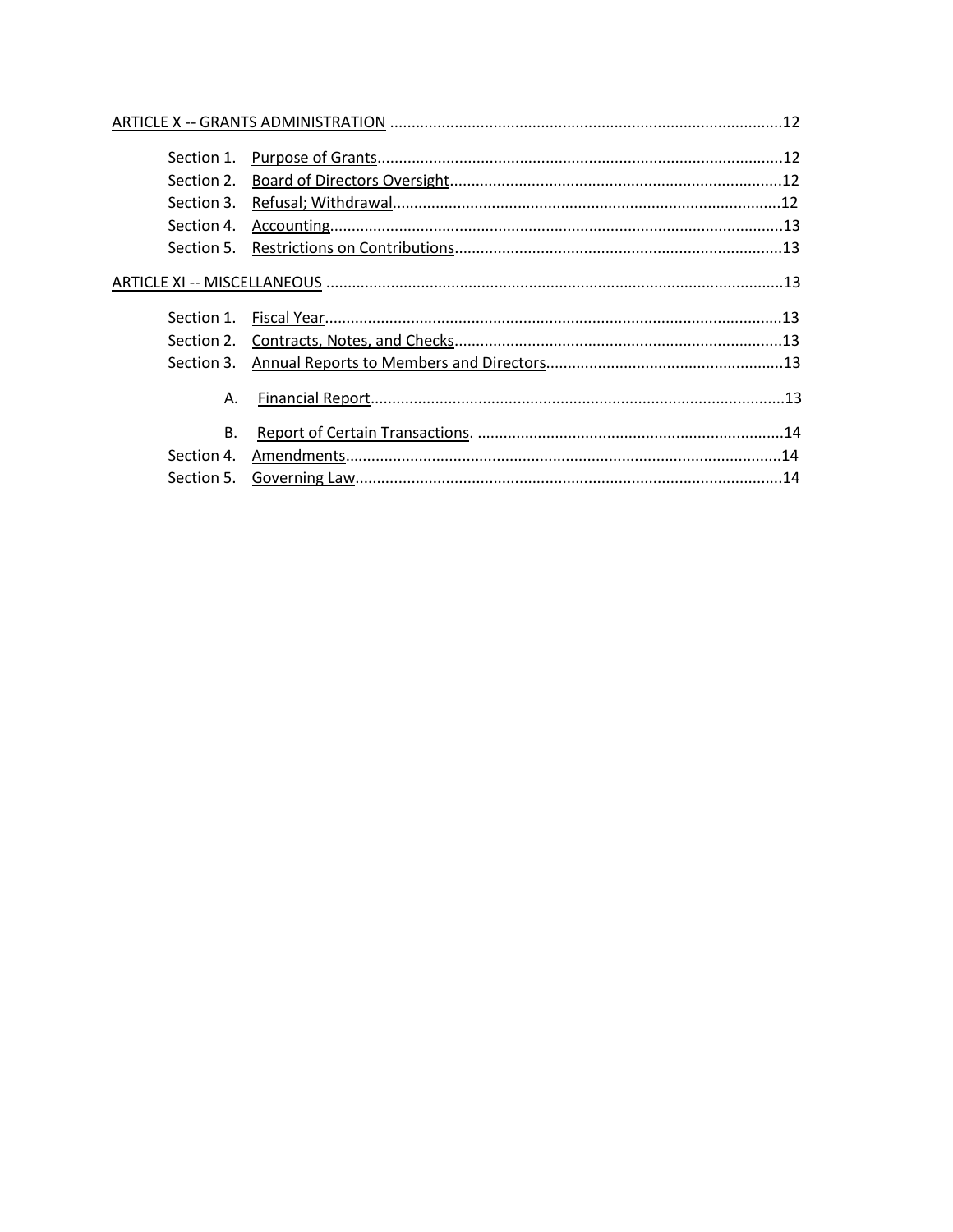| Section 3. |  |
|------------|--|
| Α.         |  |
| <b>B.</b>  |  |
| Section 4. |  |
|            |  |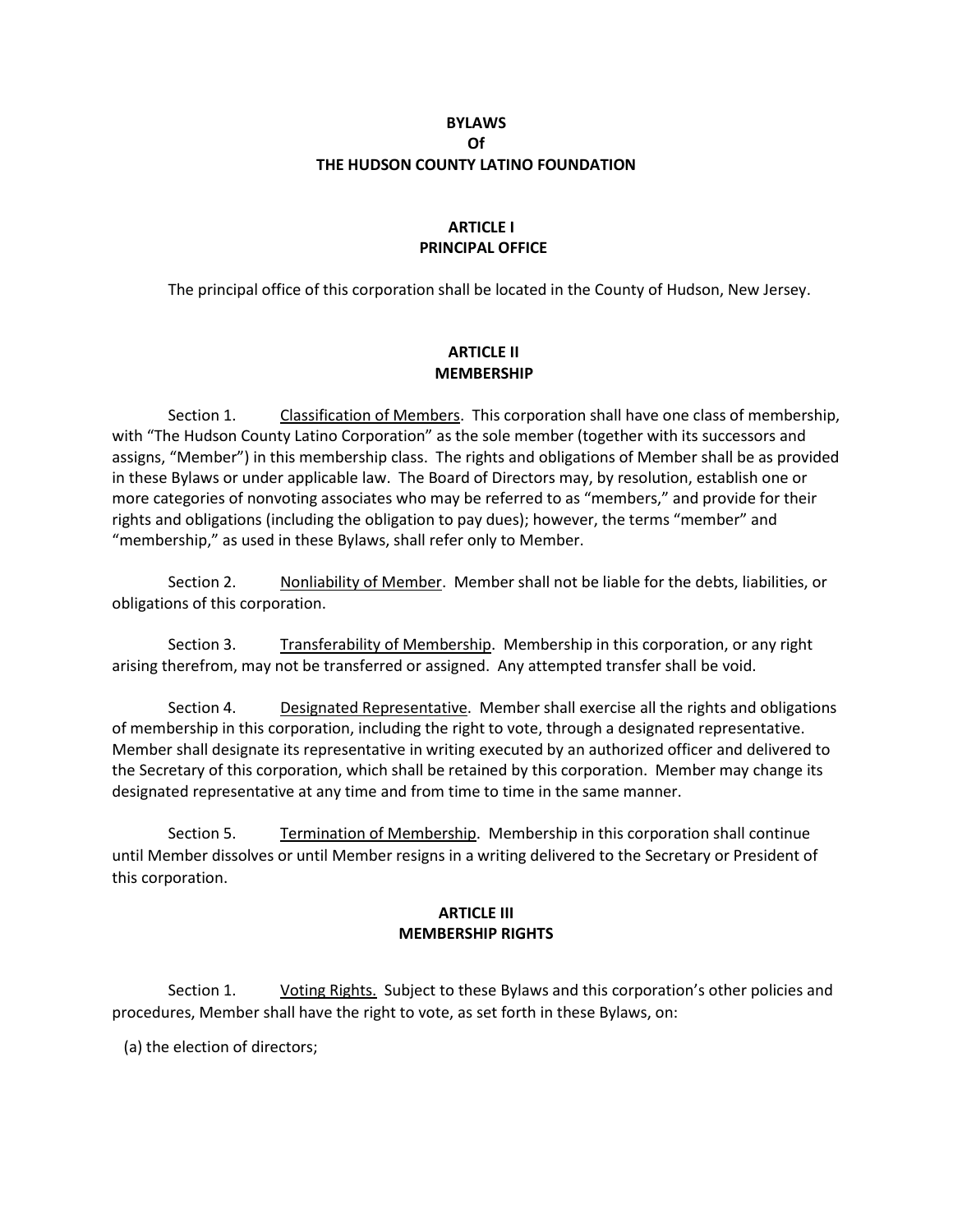### **BYLAWS Of THE HUDSON COUNTY LATINO FOUNDATION**

# **ARTICLE I PRINCIPAL OFFICE**

The principal office of this corporation shall be located in the County of Hudson, New Jersey.

# **ARTICLE II MEMBERSHIP**

Section 1. Classification of Members. This corporation shall have one class of membership, with "The Hudson County Latino Corporation" as the sole member (together with its successors and assigns, "Member") in this membership class. The rights and obligations of Member shall be as provided in these Bylaws or under applicable law. The Board of Directors may, by resolution, establish one or more categories of nonvoting associates who may be referred to as "members," and provide for their rights and obligations (including the obligation to pay dues); however, the terms "member" and "membership," as used in these Bylaws, shall refer only to Member.

Section 2. Nonliability of Member. Member shall not be liable for the debts, liabilities, or obligations of this corporation.

Section 3. Transferability of Membership. Membership in this corporation, or any right arising therefrom, may not be transferred or assigned. Any attempted transfer shall be void.

Section 4. Designated Representative. Member shall exercise all the rights and obligations of membership in this corporation, including the right to vote, through a designated representative. Member shall designate its representative in writing executed by an authorized officer and delivered to the Secretary of this corporation, which shall be retained by this corporation. Member may change its designated representative at any time and from time to time in the same manner.

Section 5. Termination of Membership. Membership in this corporation shall continue until Member dissolves or until Member resigns in a writing delivered to the Secretary or President of this corporation.

#### **ARTICLE III MEMBERSHIP RIGHTS**

Section 1. Voting Rights. Subject to these Bylaws and this corporation's other policies and procedures, Member shall have the right to vote, as set forth in these Bylaws, on:

(a) the election of directors;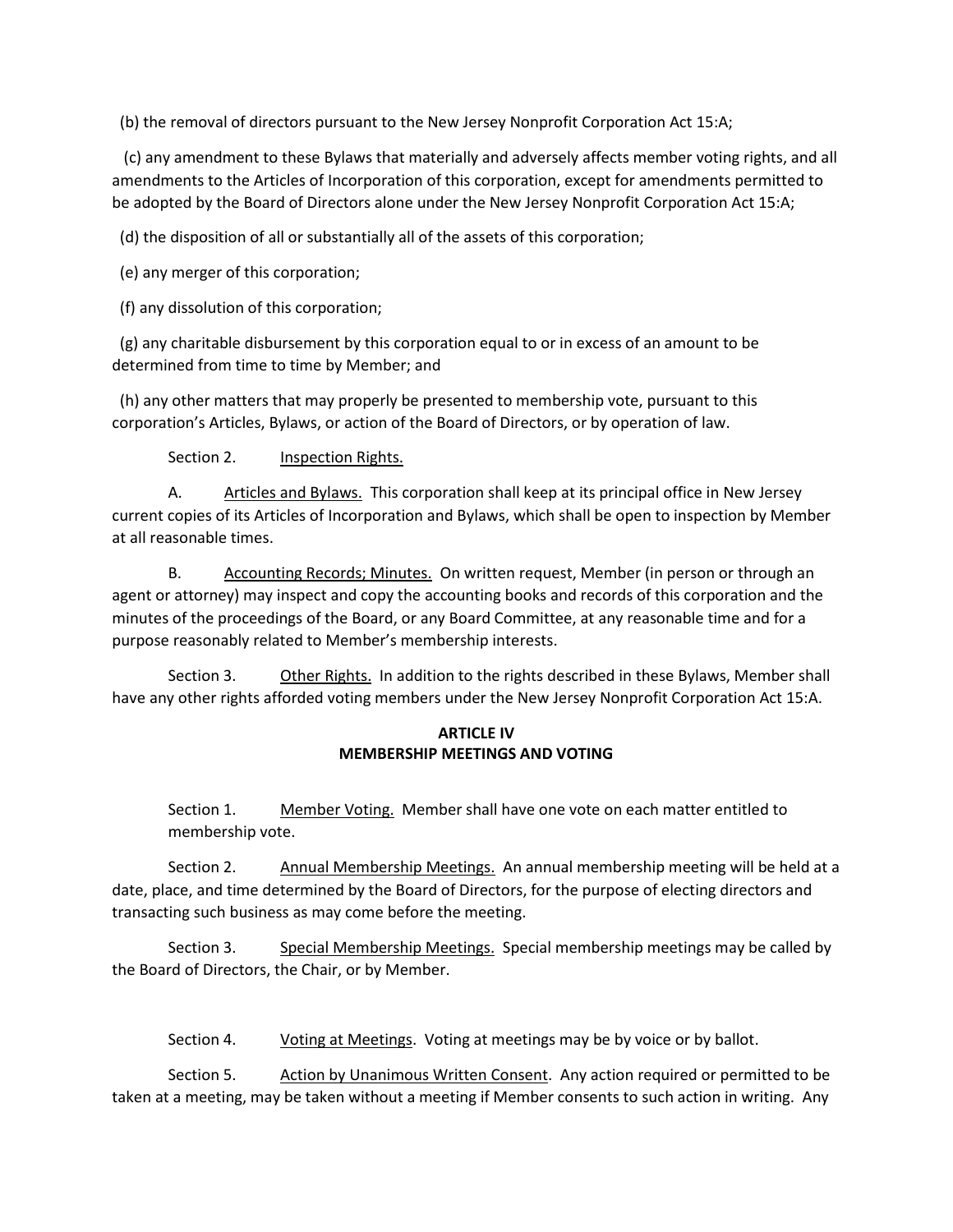(b) the removal of directors pursuant to the New Jersey Nonprofit Corporation Act 15:A;

 (c) any amendment to these Bylaws that materially and adversely affects member voting rights, and all amendments to the Articles of Incorporation of this corporation, except for amendments permitted to be adopted by the Board of Directors alone under the New Jersey Nonprofit Corporation Act 15:A;

(d) the disposition of all or substantially all of the assets of this corporation;

(e) any merger of this corporation;

(f) any dissolution of this corporation;

 (g) any charitable disbursement by this corporation equal to or in excess of an amount to be determined from time to time by Member; and

 (h) any other matters that may properly be presented to membership vote, pursuant to this corporation's Articles, Bylaws, or action of the Board of Directors, or by operation of law.

Section 2. **Inspection Rights.** 

A. Articles and Bylaws. This corporation shall keep at its principal office in New Jersey current copies of its Articles of Incorporation and Bylaws, which shall be open to inspection by Member at all reasonable times.

B. Accounting Records; Minutes. On written request, Member (in person or through an agent or attorney) may inspect and copy the accounting books and records of this corporation and the minutes of the proceedings of the Board, or any Board Committee, at any reasonable time and for a purpose reasonably related to Member's membership interests.

Section 3. Other Rights. In addition to the rights described in these Bylaws, Member shall have any other rights afforded voting members under the New Jersey Nonprofit Corporation Act 15:A.

### **ARTICLE IV MEMBERSHIP MEETINGS AND VOTING**

Section 1. Member Voting. Member shall have one vote on each matter entitled to membership vote.

Section 2. Annual Membership Meetings. An annual membership meeting will be held at a date, place, and time determined by the Board of Directors, for the purpose of electing directors and transacting such business as may come before the meeting.

Section 3. Special Membership Meetings. Special membership meetings may be called by the Board of Directors, the Chair, or by Member.

Section 4. Voting at Meetings. Voting at meetings may be by voice or by ballot.

Section 5. Action by Unanimous Written Consent. Any action required or permitted to be taken at a meeting, may be taken without a meeting if Member consents to such action in writing. Any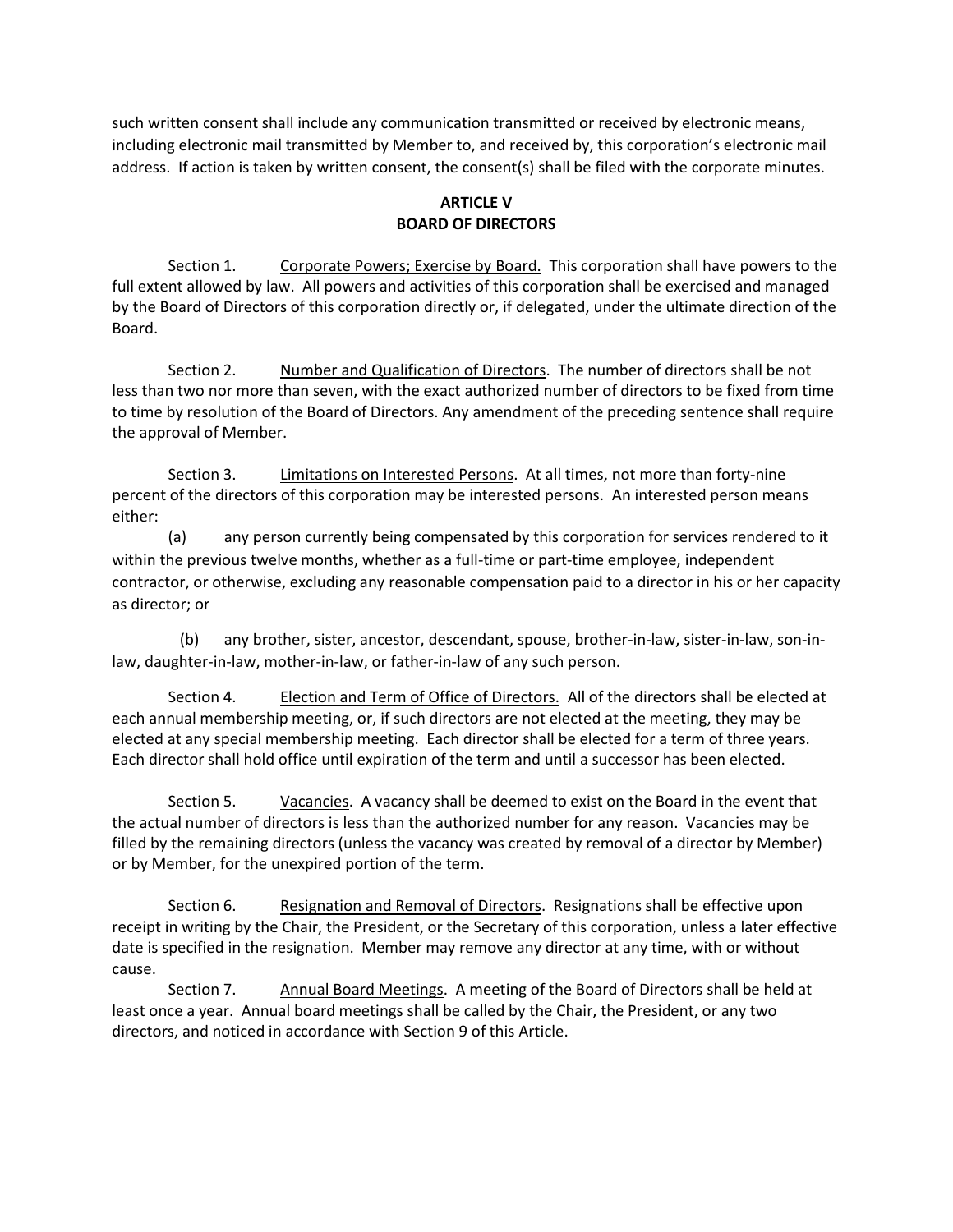such written consent shall include any communication transmitted or received by electronic means, including electronic mail transmitted by Member to, and received by, this corporation's electronic mail address. If action is taken by written consent, the consent(s) shall be filed with the corporate minutes.

# **ARTICLE V BOARD OF DIRECTORS**

Section 1. Corporate Powers; Exercise by Board. This corporation shall have powers to the full extent allowed by law. All powers and activities of this corporation shall be exercised and managed by the Board of Directors of this corporation directly or, if delegated, under the ultimate direction of the Board.

Section 2. Number and Qualification of Directors. The number of directors shall be not less than two nor more than seven, with the exact authorized number of directors to be fixed from time to time by resolution of the Board of Directors. Any amendment of the preceding sentence shall require the approval of Member.

Section 3. Limitations on Interested Persons. At all times, not more than forty-nine percent of the directors of this corporation may be interested persons. An interested person means either:

(a) any person currently being compensated by this corporation for services rendered to it within the previous twelve months, whether as a full-time or part-time employee, independent contractor, or otherwise, excluding any reasonable compensation paid to a director in his or her capacity as director; or

 (b) any brother, sister, ancestor, descendant, spouse, brother-in-law, sister-in-law, son-inlaw, daughter-in-law, mother-in-law, or father-in-law of any such person.

Section 4. Election and Term of Office of Directors. All of the directors shall be elected at each annual membership meeting, or, if such directors are not elected at the meeting, they may be elected at any special membership meeting. Each director shall be elected for a term of three years. Each director shall hold office until expiration of the term and until a successor has been elected.

Section 5. Vacancies. A vacancy shall be deemed to exist on the Board in the event that the actual number of directors is less than the authorized number for any reason. Vacancies may be filled by the remaining directors (unless the vacancy was created by removal of a director by Member) or by Member, for the unexpired portion of the term.

Section 6. Resignation and Removal of Directors. Resignations shall be effective upon receipt in writing by the Chair, the President, or the Secretary of this corporation, unless a later effective date is specified in the resignation. Member may remove any director at any time, with or without cause.

Section 7. Annual Board Meetings. A meeting of the Board of Directors shall be held at least once a year. Annual board meetings shall be called by the Chair, the President, or any two directors, and noticed in accordance with Section 9 of this Article.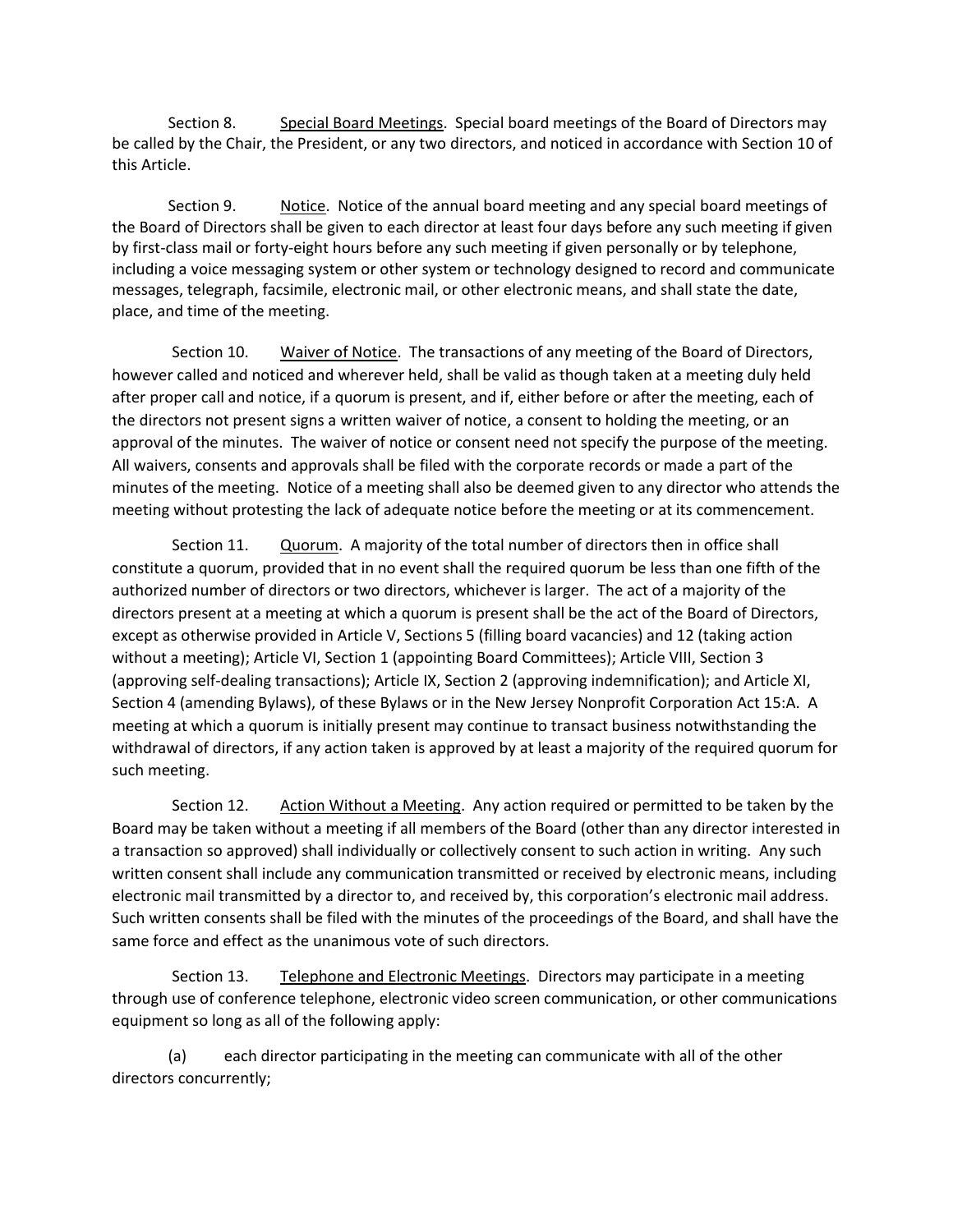Section 8. Special Board Meetings. Special board meetings of the Board of Directors may be called by the Chair, the President, or any two directors, and noticed in accordance with Section 10 of this Article.

Section 9. Notice. Notice of the annual board meeting and any special board meetings of the Board of Directors shall be given to each director at least four days before any such meeting if given by first-class mail or forty-eight hours before any such meeting if given personally or by telephone, including a voice messaging system or other system or technology designed to record and communicate messages, telegraph, facsimile, electronic mail, or other electronic means, and shall state the date, place, and time of the meeting.

Section 10. Waiver of Notice. The transactions of any meeting of the Board of Directors, however called and noticed and wherever held, shall be valid as though taken at a meeting duly held after proper call and notice, if a quorum is present, and if, either before or after the meeting, each of the directors not present signs a written waiver of notice, a consent to holding the meeting, or an approval of the minutes. The waiver of notice or consent need not specify the purpose of the meeting. All waivers, consents and approvals shall be filed with the corporate records or made a part of the minutes of the meeting. Notice of a meeting shall also be deemed given to any director who attends the meeting without protesting the lack of adequate notice before the meeting or at its commencement.

Section 11. Quorum. A majority of the total number of directors then in office shall constitute a quorum, provided that in no event shall the required quorum be less than one fifth of the authorized number of directors or two directors, whichever is larger. The act of a majority of the directors present at a meeting at which a quorum is present shall be the act of the Board of Directors, except as otherwise provided in Article V, Sections 5 (filling board vacancies) and 12 (taking action without a meeting); Article VI, Section 1 (appointing Board Committees); Article VIII, Section 3 (approving self-dealing transactions); Article IX, Section 2 (approving indemnification); and Article XI, Section 4 (amending Bylaws), of these Bylaws or in the New Jersey Nonprofit Corporation Act 15:A. A meeting at which a quorum is initially present may continue to transact business notwithstanding the withdrawal of directors, if any action taken is approved by at least a majority of the required quorum for such meeting.

Section 12. Action Without a Meeting. Any action required or permitted to be taken by the Board may be taken without a meeting if all members of the Board (other than any director interested in a transaction so approved) shall individually or collectively consent to such action in writing. Any such written consent shall include any communication transmitted or received by electronic means, including electronic mail transmitted by a director to, and received by, this corporation's electronic mail address. Such written consents shall be filed with the minutes of the proceedings of the Board, and shall have the same force and effect as the unanimous vote of such directors.

Section 13. Telephone and Electronic Meetings. Directors may participate in a meeting through use of conference telephone, electronic video screen communication, or other communications equipment so long as all of the following apply:

(a) each director participating in the meeting can communicate with all of the other directors concurrently;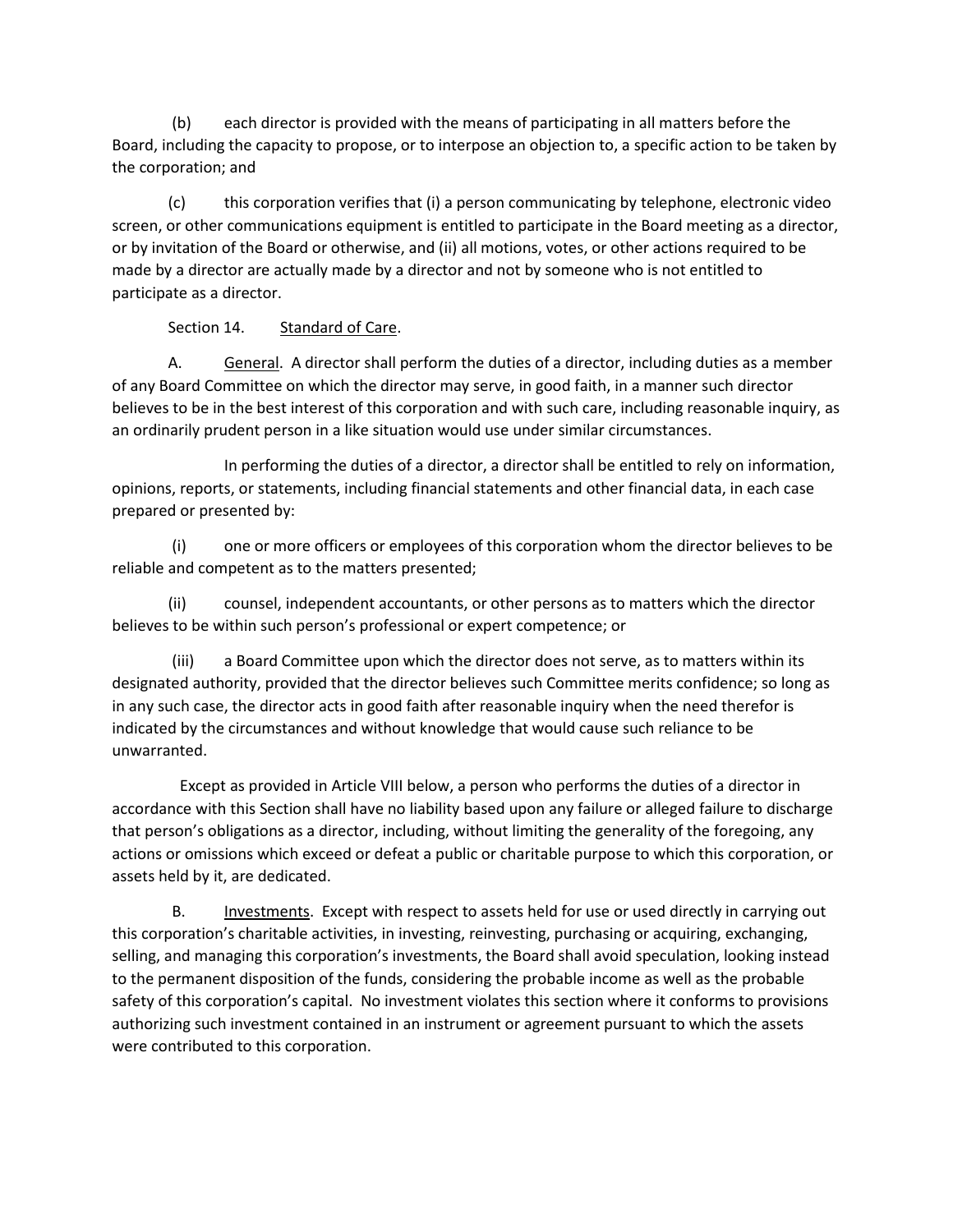(b) each director is provided with the means of participating in all matters before the Board, including the capacity to propose, or to interpose an objection to, a specific action to be taken by the corporation; and

(c) this corporation verifies that (i) a person communicating by telephone, electronic video screen, or other communications equipment is entitled to participate in the Board meeting as a director, or by invitation of the Board or otherwise, and (ii) all motions, votes, or other actions required to be made by a director are actually made by a director and not by someone who is not entitled to participate as a director.

Section 14. Standard of Care.

A. General. A director shall perform the duties of a director, including duties as a member of any Board Committee on which the director may serve, in good faith, in a manner such director believes to be in the best interest of this corporation and with such care, including reasonable inquiry, as an ordinarily prudent person in a like situation would use under similar circumstances.

 In performing the duties of a director, a director shall be entitled to rely on information, opinions, reports, or statements, including financial statements and other financial data, in each case prepared or presented by:

(i) one or more officers or employees of this corporation whom the director believes to be reliable and competent as to the matters presented;

(ii) counsel, independent accountants, or other persons as to matters which the director believes to be within such person's professional or expert competence; or

(iii) a Board Committee upon which the director does not serve, as to matters within its designated authority, provided that the director believes such Committee merits confidence; so long as in any such case, the director acts in good faith after reasonable inquiry when the need therefor is indicated by the circumstances and without knowledge that would cause such reliance to be unwarranted.

 Except as provided in Article VIII below, a person who performs the duties of a director in accordance with this Section shall have no liability based upon any failure or alleged failure to discharge that person's obligations as a director, including, without limiting the generality of the foregoing, any actions or omissions which exceed or defeat a public or charitable purpose to which this corporation, or assets held by it, are dedicated.

B. Investments. Except with respect to assets held for use or used directly in carrying out this corporation's charitable activities, in investing, reinvesting, purchasing or acquiring, exchanging, selling, and managing this corporation's investments, the Board shall avoid speculation, looking instead to the permanent disposition of the funds, considering the probable income as well as the probable safety of this corporation's capital. No investment violates this section where it conforms to provisions authorizing such investment contained in an instrument or agreement pursuant to which the assets were contributed to this corporation.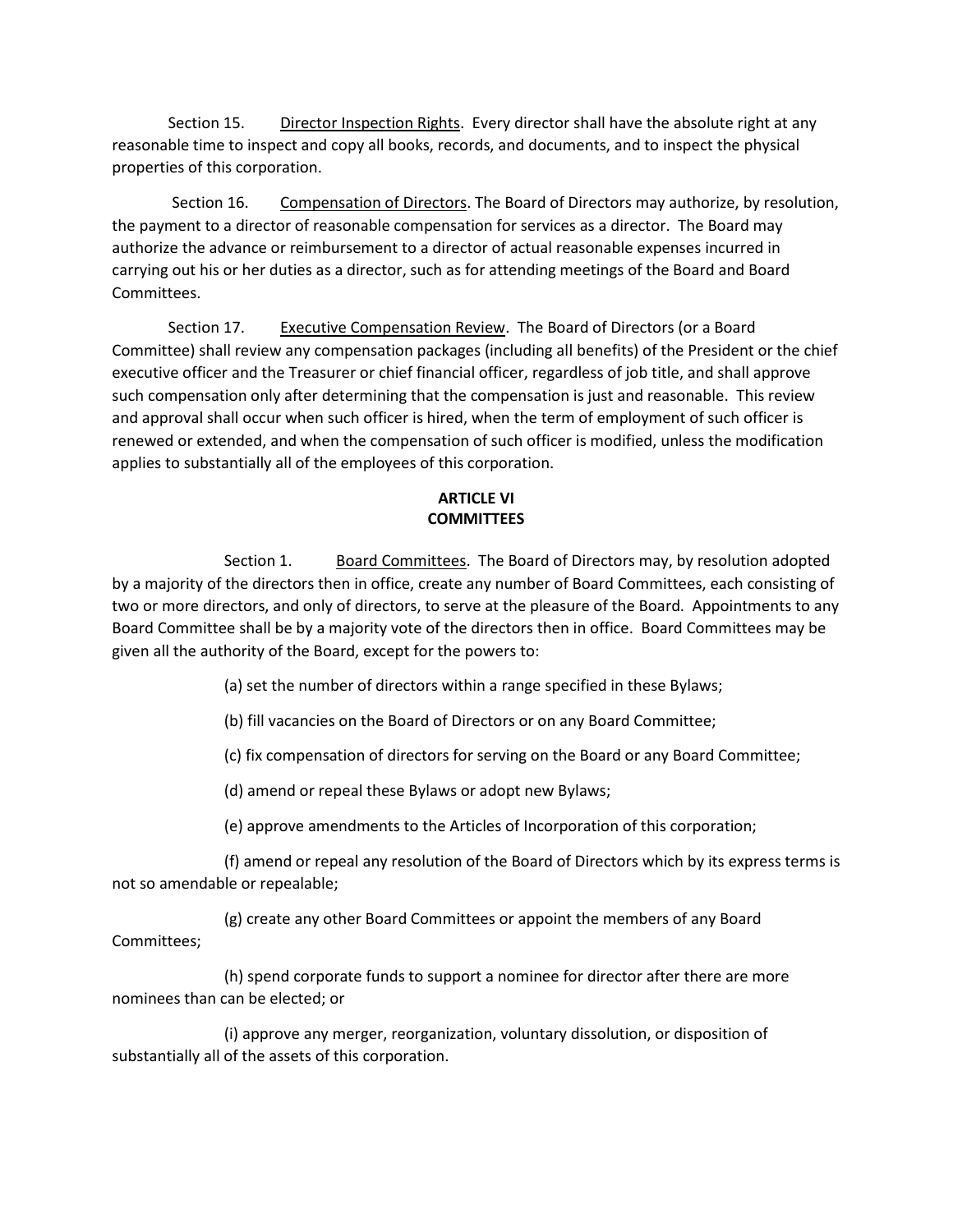Section 15. Director Inspection Rights. Every director shall have the absolute right at any reasonable time to inspect and copy all books, records, and documents, and to inspect the physical properties of this corporation.

Section 16. Compensation of Directors. The Board of Directors may authorize, by resolution, the payment to a director of reasonable compensation for services as a director. The Board may authorize the advance or reimbursement to a director of actual reasonable expenses incurred in carrying out his or her duties as a director, such as for attending meetings of the Board and Board Committees.

Section 17. Executive Compensation Review. The Board of Directors (or a Board Committee) shall review any compensation packages (including all benefits) of the President or the chief executive officer and the Treasurer or chief financial officer, regardless of job title, and shall approve such compensation only after determining that the compensation is just and reasonable. This review and approval shall occur when such officer is hired, when the term of employment of such officer is renewed or extended, and when the compensation of such officer is modified, unless the modification applies to substantially all of the employees of this corporation.

# **ARTICLE VI COMMITTEES**

Section 1. Board Committees. The Board of Directors may, by resolution adopted by a majority of the directors then in office, create any number of Board Committees, each consisting of two or more directors, and only of directors, to serve at the pleasure of the Board. Appointments to any Board Committee shall be by a majority vote of the directors then in office. Board Committees may be given all the authority of the Board, except for the powers to:

(a) set the number of directors within a range specified in these Bylaws;

(b) fill vacancies on the Board of Directors or on any Board Committee;

(c) fix compensation of directors for serving on the Board or any Board Committee;

(d) amend or repeal these Bylaws or adopt new Bylaws;

(e) approve amendments to the Articles of Incorporation of this corporation;

(f) amend or repeal any resolution of the Board of Directors which by its express terms is not so amendable or repealable;

(g) create any other Board Committees or appoint the members of any Board Committees;

(h) spend corporate funds to support a nominee for director after there are more nominees than can be elected; or

(i) approve any merger, reorganization, voluntary dissolution, or disposition of substantially all of the assets of this corporation.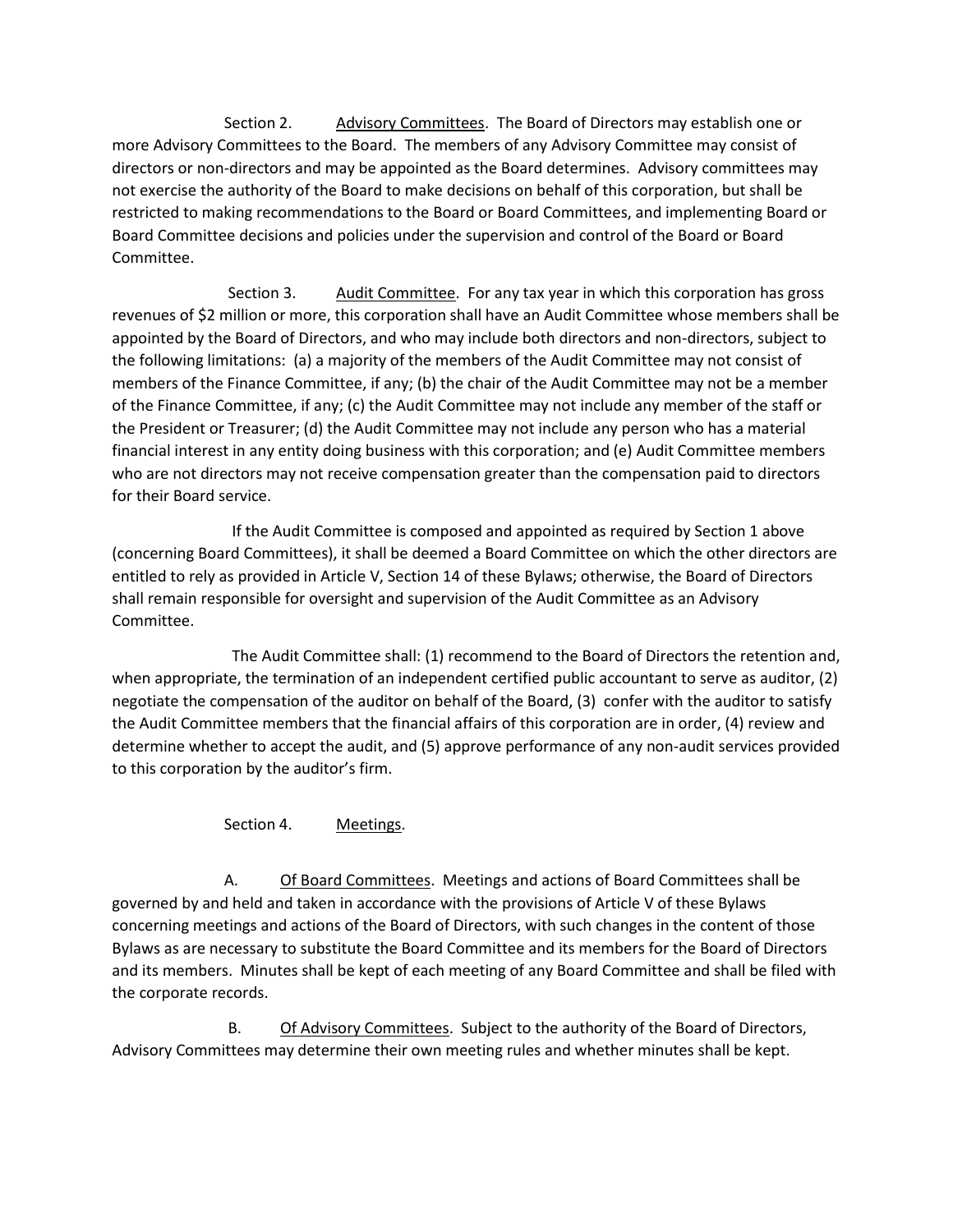Section 2. Advisory Committees. The Board of Directors may establish one or more Advisory Committees to the Board. The members of any Advisory Committee may consist of directors or non-directors and may be appointed as the Board determines. Advisory committees may not exercise the authority of the Board to make decisions on behalf of this corporation, but shall be restricted to making recommendations to the Board or Board Committees, and implementing Board or Board Committee decisions and policies under the supervision and control of the Board or Board Committee.

Section 3. Audit Committee. For any tax year in which this corporation has gross revenues of \$2 million or more, this corporation shall have an Audit Committee whose members shall be appointed by the Board of Directors, and who may include both directors and non-directors, subject to the following limitations: (a) a majority of the members of the Audit Committee may not consist of members of the Finance Committee, if any; (b) the chair of the Audit Committee may not be a member of the Finance Committee, if any; (c) the Audit Committee may not include any member of the staff or the President or Treasurer; (d) the Audit Committee may not include any person who has a material financial interest in any entity doing business with this corporation; and (e) Audit Committee members who are not directors may not receive compensation greater than the compensation paid to directors for their Board service.

 If the Audit Committee is composed and appointed as required by Section 1 above (concerning Board Committees), it shall be deemed a Board Committee on which the other directors are entitled to rely as provided in Article V, Section 14 of these Bylaws; otherwise, the Board of Directors shall remain responsible for oversight and supervision of the Audit Committee as an Advisory Committee.

 The Audit Committee shall: (1) recommend to the Board of Directors the retention and, when appropriate, the termination of an independent certified public accountant to serve as auditor, (2) negotiate the compensation of the auditor on behalf of the Board, (3) confer with the auditor to satisfy the Audit Committee members that the financial affairs of this corporation are in order, (4) review and determine whether to accept the audit, and (5) approve performance of any non-audit services provided to this corporation by the auditor's firm.

Section 4. Meetings.

A. Of Board Committees. Meetings and actions of Board Committees shall be governed by and held and taken in accordance with the provisions of Article V of these Bylaws concerning meetings and actions of the Board of Directors, with such changes in the content of those Bylaws as are necessary to substitute the Board Committee and its members for the Board of Directors and its members. Minutes shall be kept of each meeting of any Board Committee and shall be filed with the corporate records.

B. Of Advisory Committees. Subject to the authority of the Board of Directors, Advisory Committees may determine their own meeting rules and whether minutes shall be kept.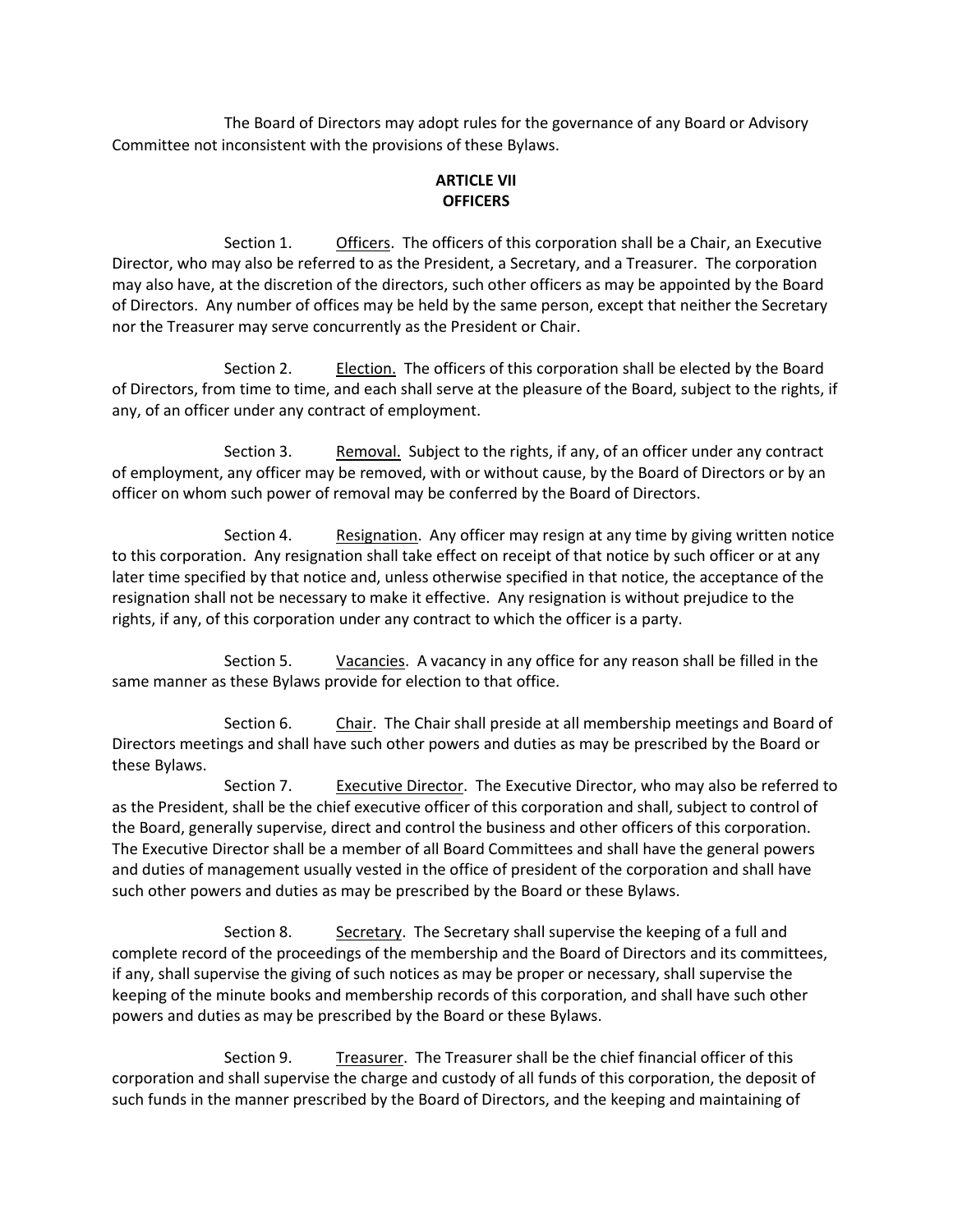The Board of Directors may adopt rules for the governance of any Board or Advisory Committee not inconsistent with the provisions of these Bylaws.

# **ARTICLE VII OFFICERS**

Section 1. Officers. The officers of this corporation shall be a Chair, an Executive Director, who may also be referred to as the President, a Secretary, and a Treasurer. The corporation may also have, at the discretion of the directors, such other officers as may be appointed by the Board of Directors. Any number of offices may be held by the same person, except that neither the Secretary nor the Treasurer may serve concurrently as the President or Chair.

Section 2. Election. The officers of this corporation shall be elected by the Board of Directors, from time to time, and each shall serve at the pleasure of the Board, subject to the rights, if any, of an officer under any contract of employment.

Section 3. Removal. Subject to the rights, if any, of an officer under any contract of employment, any officer may be removed, with or without cause, by the Board of Directors or by an officer on whom such power of removal may be conferred by the Board of Directors.

Section 4. Resignation. Any officer may resign at any time by giving written notice to this corporation. Any resignation shall take effect on receipt of that notice by such officer or at any later time specified by that notice and, unless otherwise specified in that notice, the acceptance of the resignation shall not be necessary to make it effective. Any resignation is without prejudice to the rights, if any, of this corporation under any contract to which the officer is a party.

Section 5. Vacancies. A vacancy in any office for any reason shall be filled in the same manner as these Bylaws provide for election to that office.

Section 6. Chair. The Chair shall preside at all membership meetings and Board of Directors meetings and shall have such other powers and duties as may be prescribed by the Board or these Bylaws.

Section 7. Executive Director. The Executive Director, who may also be referred to as the President, shall be the chief executive officer of this corporation and shall, subject to control of the Board, generally supervise, direct and control the business and other officers of this corporation. The Executive Director shall be a member of all Board Committees and shall have the general powers and duties of management usually vested in the office of president of the corporation and shall have such other powers and duties as may be prescribed by the Board or these Bylaws.

Section 8. Secretary. The Secretary shall supervise the keeping of a full and complete record of the proceedings of the membership and the Board of Directors and its committees, if any, shall supervise the giving of such notices as may be proper or necessary, shall supervise the keeping of the minute books and membership records of this corporation, and shall have such other powers and duties as may be prescribed by the Board or these Bylaws.

Section 9. Treasurer. The Treasurer shall be the chief financial officer of this corporation and shall supervise the charge and custody of all funds of this corporation, the deposit of such funds in the manner prescribed by the Board of Directors, and the keeping and maintaining of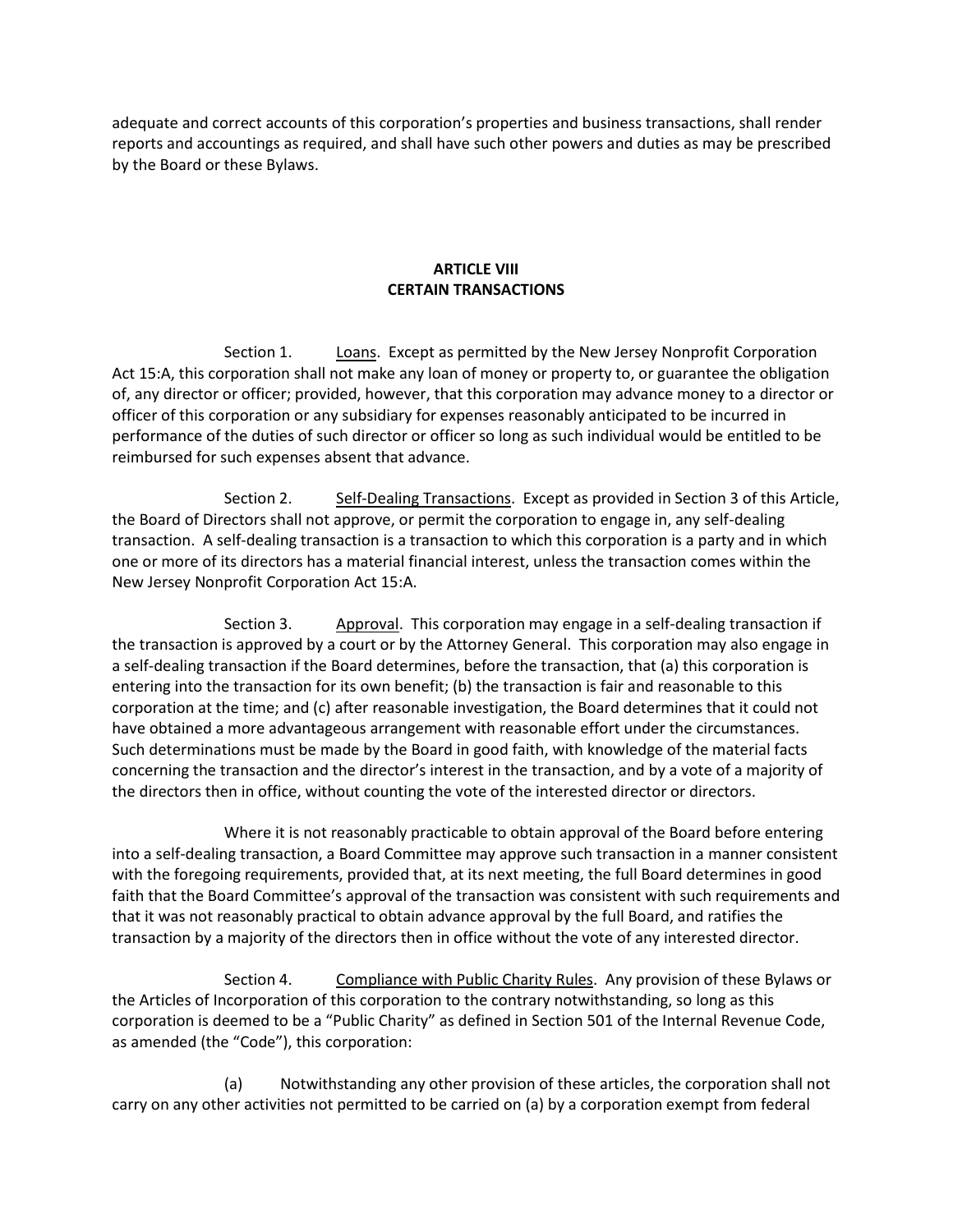adequate and correct accounts of this corporation's properties and business transactions, shall render reports and accountings as required, and shall have such other powers and duties as may be prescribed by the Board or these Bylaws.

### **ARTICLE VIII CERTAIN TRANSACTIONS**

Section 1. Loans. Except as permitted by the New Jersey Nonprofit Corporation Act 15:A, this corporation shall not make any loan of money or property to, or guarantee the obligation of, any director or officer; provided, however, that this corporation may advance money to a director or officer of this corporation or any subsidiary for expenses reasonably anticipated to be incurred in performance of the duties of such director or officer so long as such individual would be entitled to be reimbursed for such expenses absent that advance.

Section 2. Self-Dealing Transactions. Except as provided in Section 3 of this Article, the Board of Directors shall not approve, or permit the corporation to engage in, any self-dealing transaction. A self-dealing transaction is a transaction to which this corporation is a party and in which one or more of its directors has a material financial interest, unless the transaction comes within the New Jersey Nonprofit Corporation Act 15:A.

Section 3. Approval. This corporation may engage in a self-dealing transaction if the transaction is approved by a court or by the Attorney General. This corporation may also engage in a self-dealing transaction if the Board determines, before the transaction, that (a) this corporation is entering into the transaction for its own benefit; (b) the transaction is fair and reasonable to this corporation at the time; and (c) after reasonable investigation, the Board determines that it could not have obtained a more advantageous arrangement with reasonable effort under the circumstances. Such determinations must be made by the Board in good faith, with knowledge of the material facts concerning the transaction and the director's interest in the transaction, and by a vote of a majority of the directors then in office, without counting the vote of the interested director or directors.

Where it is not reasonably practicable to obtain approval of the Board before entering into a self-dealing transaction, a Board Committee may approve such transaction in a manner consistent with the foregoing requirements, provided that, at its next meeting, the full Board determines in good faith that the Board Committee's approval of the transaction was consistent with such requirements and that it was not reasonably practical to obtain advance approval by the full Board, and ratifies the transaction by a majority of the directors then in office without the vote of any interested director.

Section 4. Compliance with Public Charity Rules. Any provision of these Bylaws or the Articles of Incorporation of this corporation to the contrary notwithstanding, so long as this corporation is deemed to be a "Public Charity" as defined in Section 501 of the Internal Revenue Code, as amended (the "Code"), this corporation:

(a) Notwithstanding any other provision of these articles, the corporation shall not carry on any other activities not permitted to be carried on (a) by a corporation exempt from federal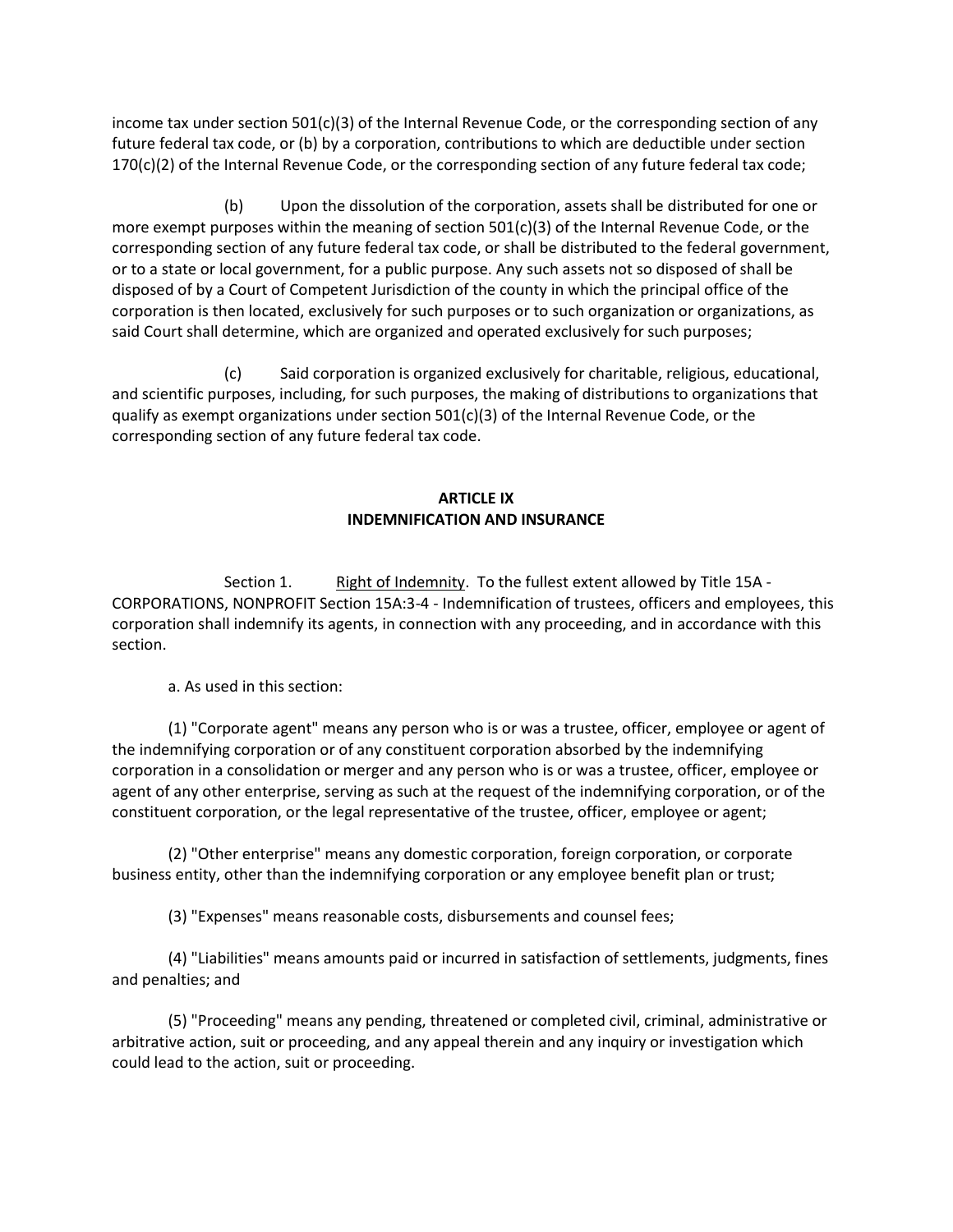income tax under section 501(c)(3) of the Internal Revenue Code, or the corresponding section of any future federal tax code, or (b) by a corporation, contributions to which are deductible under section 170(c)(2) of the Internal Revenue Code, or the corresponding section of any future federal tax code;

(b) Upon the dissolution of the corporation, assets shall be distributed for one or more exempt purposes within the meaning of section 501(c)(3) of the Internal Revenue Code, or the corresponding section of any future federal tax code, or shall be distributed to the federal government, or to a state or local government, for a public purpose. Any such assets not so disposed of shall be disposed of by a Court of Competent Jurisdiction of the county in which the principal office of the corporation is then located, exclusively for such purposes or to such organization or organizations, as said Court shall determine, which are organized and operated exclusively for such purposes;

(c) Said corporation is organized exclusively for charitable, religious, educational, and scientific purposes, including, for such purposes, the making of distributions to organizations that qualify as exempt organizations under section 501(c)(3) of the Internal Revenue Code, or the corresponding section of any future federal tax code.

# **ARTICLE IX INDEMNIFICATION AND INSURANCE**

Section 1. Right of Indemnity. To the fullest extent allowed by Title 15A -CORPORATIONS, NONPROFIT Section 15A:3-4 - Indemnification of trustees, officers and employees, this corporation shall indemnify its agents, in connection with any proceeding, and in accordance with this section.

a. As used in this section:

(1) "Corporate agent" means any person who is or was a trustee, officer, employee or agent of the indemnifying corporation or of any constituent corporation absorbed by the indemnifying corporation in a consolidation or merger and any person who is or was a trustee, officer, employee or agent of any other enterprise, serving as such at the request of the indemnifying corporation, or of the constituent corporation, or the legal representative of the trustee, officer, employee or agent;

(2) "Other enterprise" means any domestic corporation, foreign corporation, or corporate business entity, other than the indemnifying corporation or any employee benefit plan or trust;

(3) "Expenses" means reasonable costs, disbursements and counsel fees;

(4) "Liabilities" means amounts paid or incurred in satisfaction of settlements, judgments, fines and penalties; and

(5) "Proceeding" means any pending, threatened or completed civil, criminal, administrative or arbitrative action, suit or proceeding, and any appeal therein and any inquiry or investigation which could lead to the action, suit or proceeding.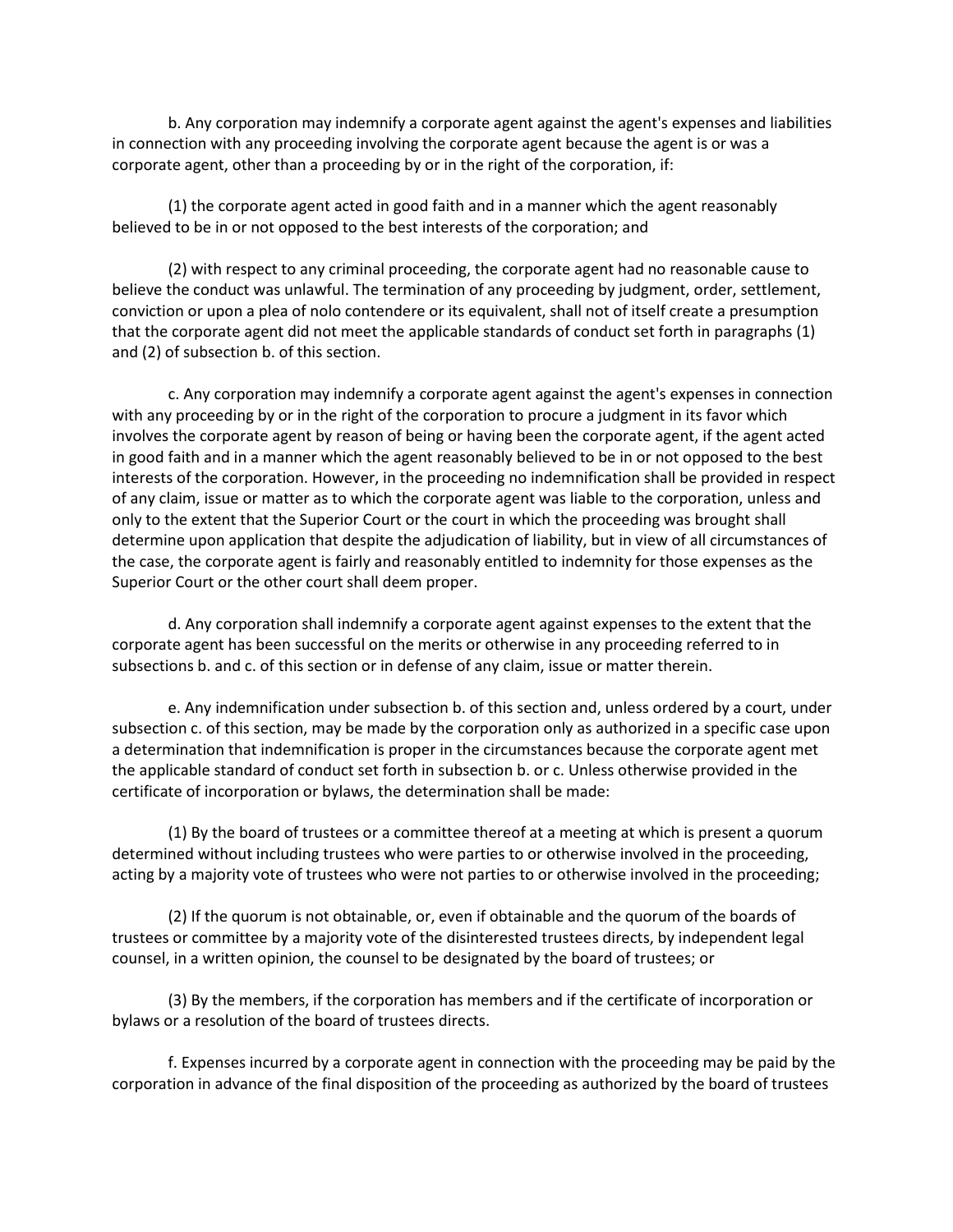b. Any corporation may indemnify a corporate agent against the agent's expenses and liabilities in connection with any proceeding involving the corporate agent because the agent is or was a corporate agent, other than a proceeding by or in the right of the corporation, if:

(1) the corporate agent acted in good faith and in a manner which the agent reasonably believed to be in or not opposed to the best interests of the corporation; and

(2) with respect to any criminal proceeding, the corporate agent had no reasonable cause to believe the conduct was unlawful. The termination of any proceeding by judgment, order, settlement, conviction or upon a plea of nolo contendere or its equivalent, shall not of itself create a presumption that the corporate agent did not meet the applicable standards of conduct set forth in paragraphs (1) and (2) of subsection b. of this section.

c. Any corporation may indemnify a corporate agent against the agent's expenses in connection with any proceeding by or in the right of the corporation to procure a judgment in its favor which involves the corporate agent by reason of being or having been the corporate agent, if the agent acted in good faith and in a manner which the agent reasonably believed to be in or not opposed to the best interests of the corporation. However, in the proceeding no indemnification shall be provided in respect of any claim, issue or matter as to which the corporate agent was liable to the corporation, unless and only to the extent that the Superior Court or the court in which the proceeding was brought shall determine upon application that despite the adjudication of liability, but in view of all circumstances of the case, the corporate agent is fairly and reasonably entitled to indemnity for those expenses as the Superior Court or the other court shall deem proper.

d. Any corporation shall indemnify a corporate agent against expenses to the extent that the corporate agent has been successful on the merits or otherwise in any proceeding referred to in subsections b. and c. of this section or in defense of any claim, issue or matter therein.

e. Any indemnification under subsection b. of this section and, unless ordered by a court, under subsection c. of this section, may be made by the corporation only as authorized in a specific case upon a determination that indemnification is proper in the circumstances because the corporate agent met the applicable standard of conduct set forth in subsection b. or c. Unless otherwise provided in the certificate of incorporation or bylaws, the determination shall be made:

(1) By the board of trustees or a committee thereof at a meeting at which is present a quorum determined without including trustees who were parties to or otherwise involved in the proceeding, acting by a majority vote of trustees who were not parties to or otherwise involved in the proceeding;

(2) If the quorum is not obtainable, or, even if obtainable and the quorum of the boards of trustees or committee by a majority vote of the disinterested trustees directs, by independent legal counsel, in a written opinion, the counsel to be designated by the board of trustees; or

(3) By the members, if the corporation has members and if the certificate of incorporation or bylaws or a resolution of the board of trustees directs.

f. Expenses incurred by a corporate agent in connection with the proceeding may be paid by the corporation in advance of the final disposition of the proceeding as authorized by the board of trustees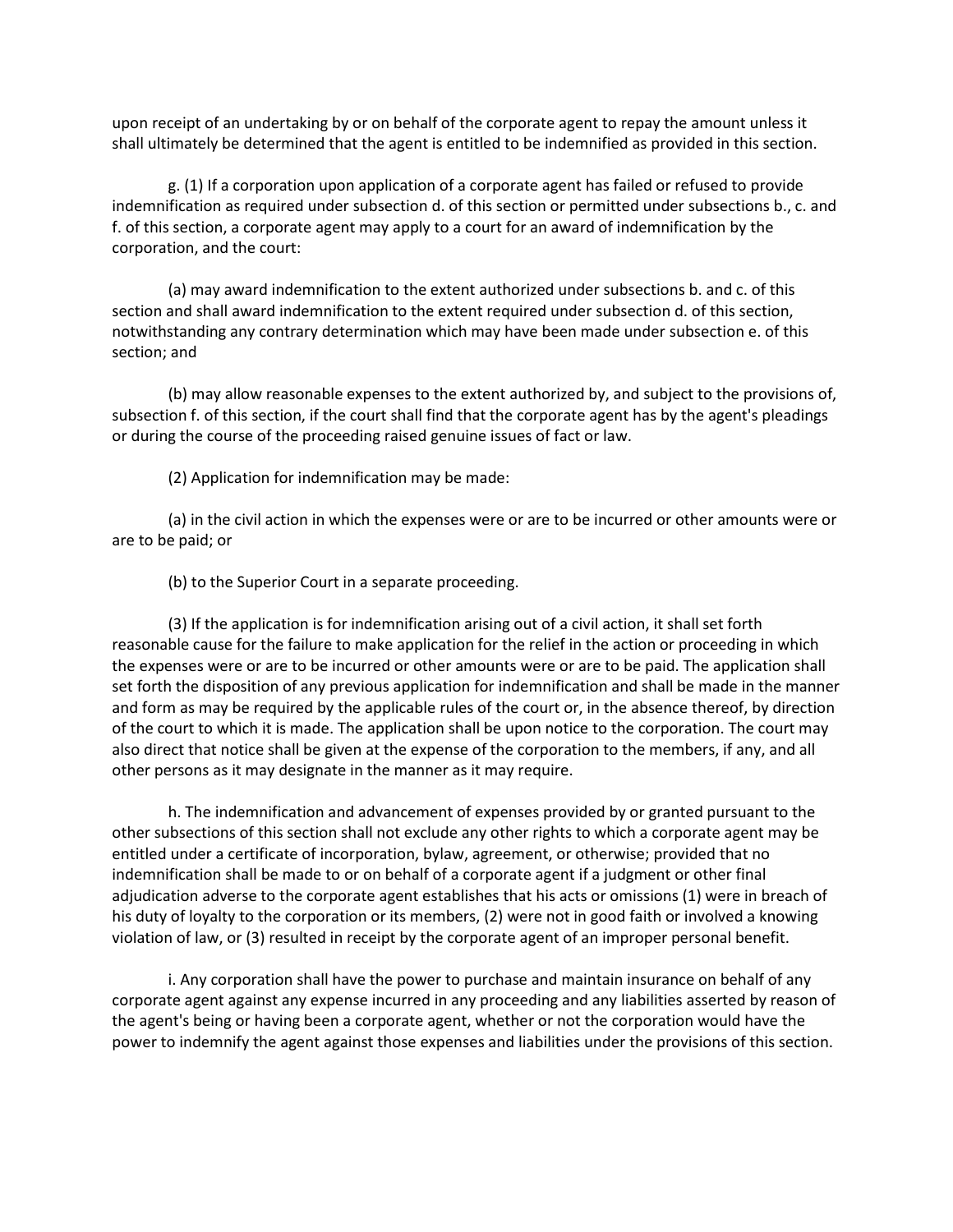upon receipt of an undertaking by or on behalf of the corporate agent to repay the amount unless it shall ultimately be determined that the agent is entitled to be indemnified as provided in this section.

g. (1) If a corporation upon application of a corporate agent has failed or refused to provide indemnification as required under subsection d. of this section or permitted under subsections b., c. and f. of this section, a corporate agent may apply to a court for an award of indemnification by the corporation, and the court:

(a) may award indemnification to the extent authorized under subsections b. and c. of this section and shall award indemnification to the extent required under subsection d. of this section, notwithstanding any contrary determination which may have been made under subsection e. of this section; and

(b) may allow reasonable expenses to the extent authorized by, and subject to the provisions of, subsection f. of this section, if the court shall find that the corporate agent has by the agent's pleadings or during the course of the proceeding raised genuine issues of fact or law.

(2) Application for indemnification may be made:

(a) in the civil action in which the expenses were or are to be incurred or other amounts were or are to be paid; or

(b) to the Superior Court in a separate proceeding.

(3) If the application is for indemnification arising out of a civil action, it shall set forth reasonable cause for the failure to make application for the relief in the action or proceeding in which the expenses were or are to be incurred or other amounts were or are to be paid. The application shall set forth the disposition of any previous application for indemnification and shall be made in the manner and form as may be required by the applicable rules of the court or, in the absence thereof, by direction of the court to which it is made. The application shall be upon notice to the corporation. The court may also direct that notice shall be given at the expense of the corporation to the members, if any, and all other persons as it may designate in the manner as it may require.

h. The indemnification and advancement of expenses provided by or granted pursuant to the other subsections of this section shall not exclude any other rights to which a corporate agent may be entitled under a certificate of incorporation, bylaw, agreement, or otherwise; provided that no indemnification shall be made to or on behalf of a corporate agent if a judgment or other final adjudication adverse to the corporate agent establishes that his acts or omissions (1) were in breach of his duty of loyalty to the corporation or its members, (2) were not in good faith or involved a knowing violation of law, or (3) resulted in receipt by the corporate agent of an improper personal benefit.

i. Any corporation shall have the power to purchase and maintain insurance on behalf of any corporate agent against any expense incurred in any proceeding and any liabilities asserted by reason of the agent's being or having been a corporate agent, whether or not the corporation would have the power to indemnify the agent against those expenses and liabilities under the provisions of this section.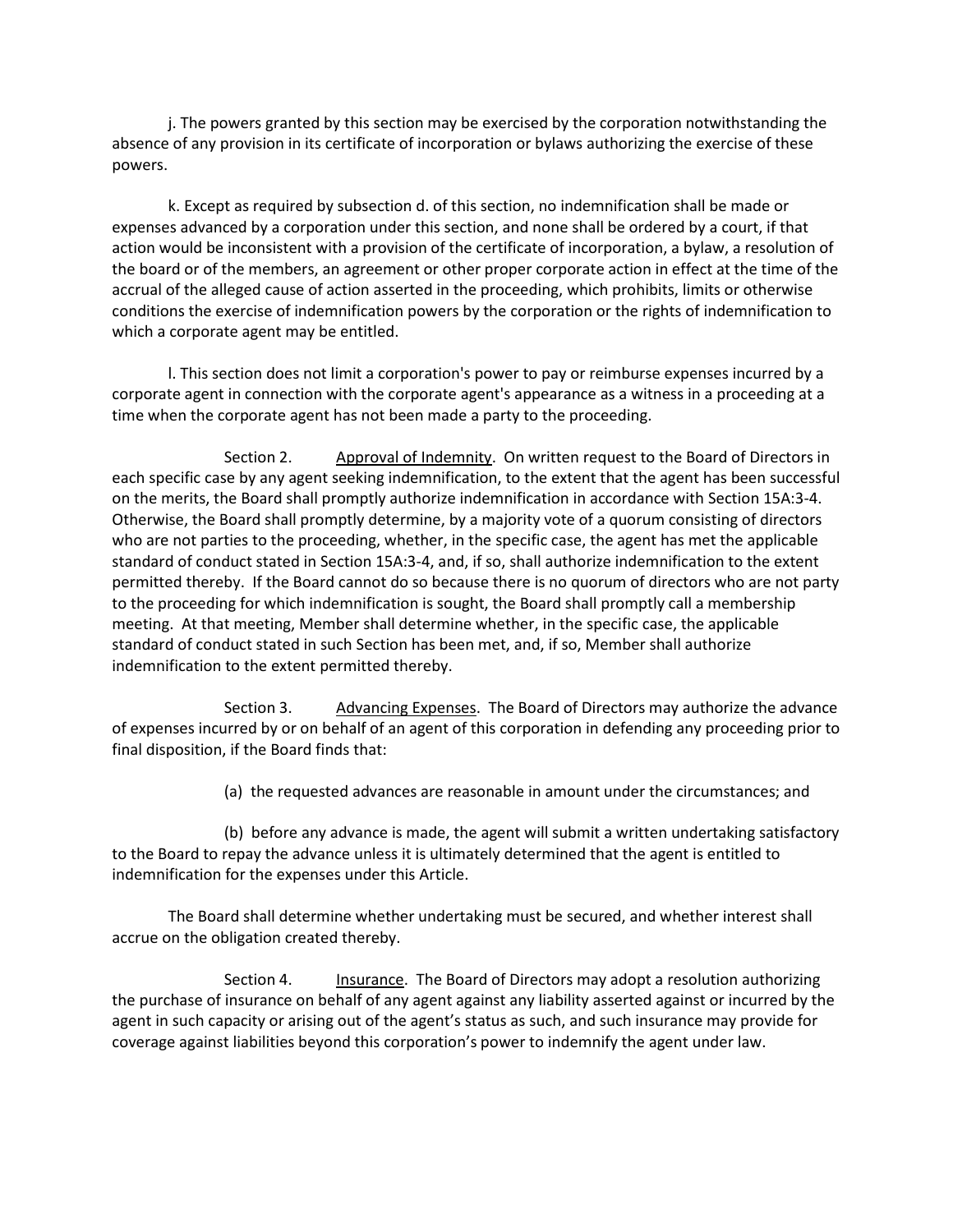j. The powers granted by this section may be exercised by the corporation notwithstanding the absence of any provision in its certificate of incorporation or bylaws authorizing the exercise of these powers.

k. Except as required by subsection d. of this section, no indemnification shall be made or expenses advanced by a corporation under this section, and none shall be ordered by a court, if that action would be inconsistent with a provision of the certificate of incorporation, a bylaw, a resolution of the board or of the members, an agreement or other proper corporate action in effect at the time of the accrual of the alleged cause of action asserted in the proceeding, which prohibits, limits or otherwise conditions the exercise of indemnification powers by the corporation or the rights of indemnification to which a corporate agent may be entitled.

l. This section does not limit a corporation's power to pay or reimburse expenses incurred by a corporate agent in connection with the corporate agent's appearance as a witness in a proceeding at a time when the corporate agent has not been made a party to the proceeding.

Section 2. Approval of Indemnity. On written request to the Board of Directors in each specific case by any agent seeking indemnification, to the extent that the agent has been successful on the merits, the Board shall promptly authorize indemnification in accordance with Section 15A:3-4. Otherwise, the Board shall promptly determine, by a majority vote of a quorum consisting of directors who are not parties to the proceeding, whether, in the specific case, the agent has met the applicable standard of conduct stated in Section 15A:3-4, and, if so, shall authorize indemnification to the extent permitted thereby. If the Board cannot do so because there is no quorum of directors who are not party to the proceeding for which indemnification is sought, the Board shall promptly call a membership meeting. At that meeting, Member shall determine whether, in the specific case, the applicable standard of conduct stated in such Section has been met, and, if so, Member shall authorize indemnification to the extent permitted thereby.

Section 3. Advancing Expenses. The Board of Directors may authorize the advance of expenses incurred by or on behalf of an agent of this corporation in defending any proceeding prior to final disposition, if the Board finds that:

(a) the requested advances are reasonable in amount under the circumstances; and

(b) before any advance is made, the agent will submit a written undertaking satisfactory to the Board to repay the advance unless it is ultimately determined that the agent is entitled to indemnification for the expenses under this Article.

The Board shall determine whether undertaking must be secured, and whether interest shall accrue on the obligation created thereby.

Section 4. Insurance. The Board of Directors may adopt a resolution authorizing the purchase of insurance on behalf of any agent against any liability asserted against or incurred by the agent in such capacity or arising out of the agent's status as such, and such insurance may provide for coverage against liabilities beyond this corporation's power to indemnify the agent under law.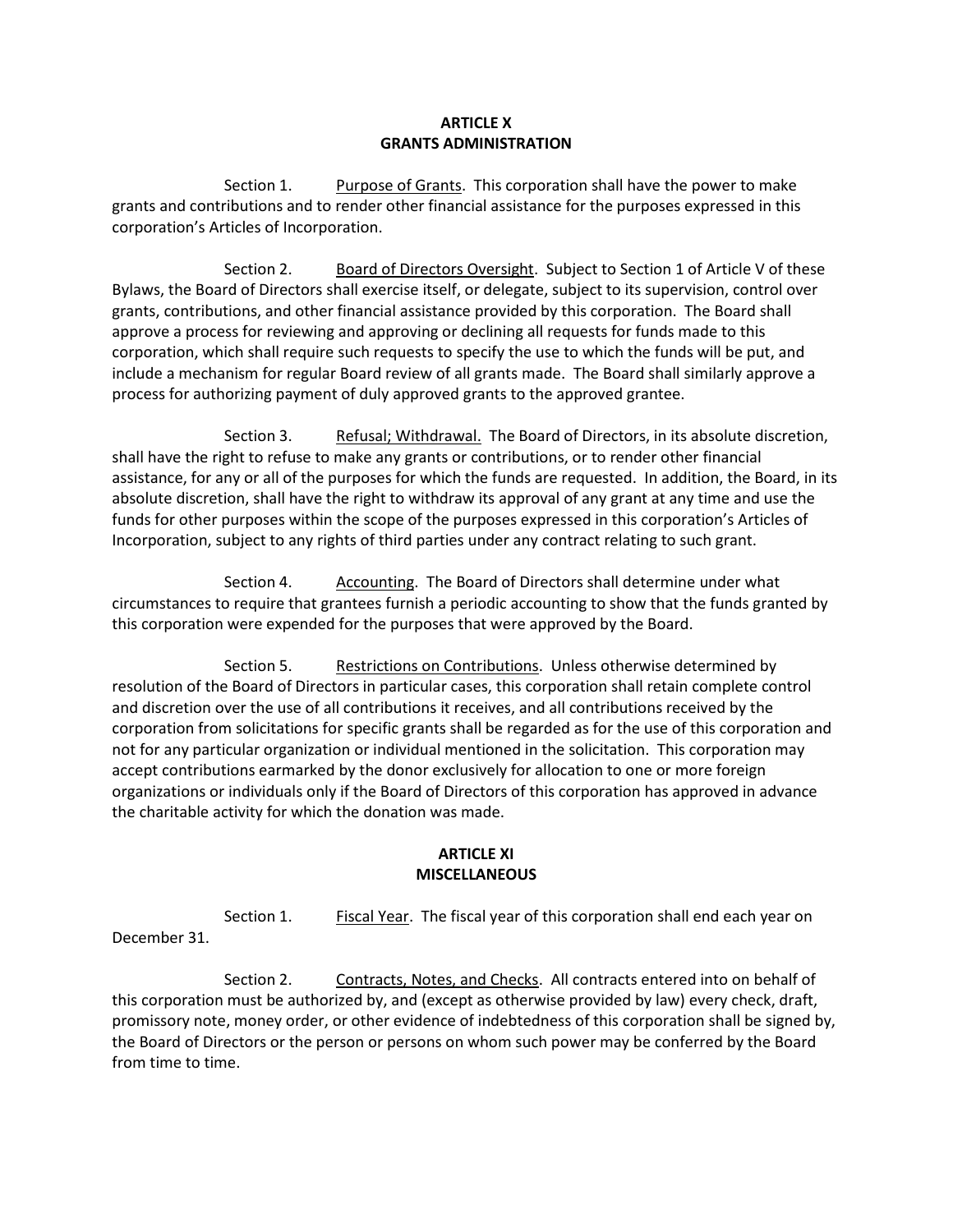### **ARTICLE X GRANTS ADMINISTRATION**

Section 1. Purpose of Grants. This corporation shall have the power to make grants and contributions and to render other financial assistance for the purposes expressed in this corporation's Articles of Incorporation.

Section 2. Board of Directors Oversight. Subject to Section 1 of Article V of these Bylaws, the Board of Directors shall exercise itself, or delegate, subject to its supervision, control over grants, contributions, and other financial assistance provided by this corporation. The Board shall approve a process for reviewing and approving or declining all requests for funds made to this corporation, which shall require such requests to specify the use to which the funds will be put, and include a mechanism for regular Board review of all grants made. The Board shall similarly approve a process for authorizing payment of duly approved grants to the approved grantee.

Section 3. Refusal; Withdrawal. The Board of Directors, in its absolute discretion, shall have the right to refuse to make any grants or contributions, or to render other financial assistance, for any or all of the purposes for which the funds are requested. In addition, the Board, in its absolute discretion, shall have the right to withdraw its approval of any grant at any time and use the funds for other purposes within the scope of the purposes expressed in this corporation's Articles of Incorporation, subject to any rights of third parties under any contract relating to such grant.

Section 4. Accounting. The Board of Directors shall determine under what circumstances to require that grantees furnish a periodic accounting to show that the funds granted by this corporation were expended for the purposes that were approved by the Board.

Section 5. Restrictions on Contributions. Unless otherwise determined by resolution of the Board of Directors in particular cases, this corporation shall retain complete control and discretion over the use of all contributions it receives, and all contributions received by the corporation from solicitations for specific grants shall be regarded as for the use of this corporation and not for any particular organization or individual mentioned in the solicitation. This corporation may accept contributions earmarked by the donor exclusively for allocation to one or more foreign organizations or individuals only if the Board of Directors of this corporation has approved in advance the charitable activity for which the donation was made.

#### **ARTICLE XI MISCELLANEOUS**

Section 1. Fiscal Year. The fiscal year of this corporation shall end each year on December 31.

Section 2. Contracts, Notes, and Checks. All contracts entered into on behalf of this corporation must be authorized by, and (except as otherwise provided by law) every check, draft, promissory note, money order, or other evidence of indebtedness of this corporation shall be signed by, the Board of Directors or the person or persons on whom such power may be conferred by the Board from time to time.